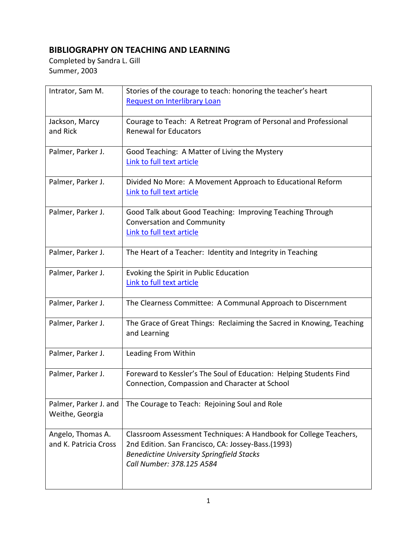## **BIBLIOGRAPHY ON TEACHING AND LEARNING**

Completed by Sandra L. Gill Summer, 2003

| Intrator, Sam M.      | Stories of the courage to teach: honoring the teacher's heart                                          |
|-----------------------|--------------------------------------------------------------------------------------------------------|
|                       | <b>Request on Interlibrary Loan</b>                                                                    |
|                       |                                                                                                        |
| Jackson, Marcy        | Courage to Teach: A Retreat Program of Personal and Professional                                       |
| and Rick              | <b>Renewal for Educators</b>                                                                           |
|                       |                                                                                                        |
| Palmer, Parker J.     | Good Teaching: A Matter of Living the Mystery                                                          |
|                       | Link to full text article                                                                              |
| Palmer, Parker J.     | Divided No More: A Movement Approach to Educational Reform                                             |
|                       | Link to full text article                                                                              |
|                       |                                                                                                        |
| Palmer, Parker J.     | Good Talk about Good Teaching: Improving Teaching Through                                              |
|                       | <b>Conversation and Community</b>                                                                      |
|                       | Link to full text article                                                                              |
|                       |                                                                                                        |
| Palmer, Parker J.     | The Heart of a Teacher: Identity and Integrity in Teaching                                             |
|                       |                                                                                                        |
| Palmer, Parker J.     | Evoking the Spirit in Public Education                                                                 |
|                       | Link to full text article                                                                              |
|                       |                                                                                                        |
| Palmer, Parker J.     | The Clearness Committee: A Communal Approach to Discernment                                            |
| Palmer, Parker J.     | The Grace of Great Things: Reclaiming the Sacred in Knowing, Teaching                                  |
|                       | and Learning                                                                                           |
|                       |                                                                                                        |
| Palmer, Parker J.     | Leading From Within                                                                                    |
|                       |                                                                                                        |
| Palmer, Parker J.     | Foreward to Kessler's The Soul of Education: Helping Students Find                                     |
|                       | Connection, Compassion and Character at School                                                         |
|                       |                                                                                                        |
| Palmer, Parker J. and | The Courage to Teach: Rejoining Soul and Role                                                          |
| Weithe, Georgia       |                                                                                                        |
|                       |                                                                                                        |
| Angelo, Thomas A.     | Classroom Assessment Techniques: A Handbook for College Teachers,                                      |
| and K. Patricia Cross | 2nd Edition. San Francisco, CA: Jossey-Bass.(1993)<br><b>Benedictine University Springfield Stacks</b> |
|                       | Call Number: 378.125 A584                                                                              |
|                       |                                                                                                        |
|                       |                                                                                                        |
|                       |                                                                                                        |